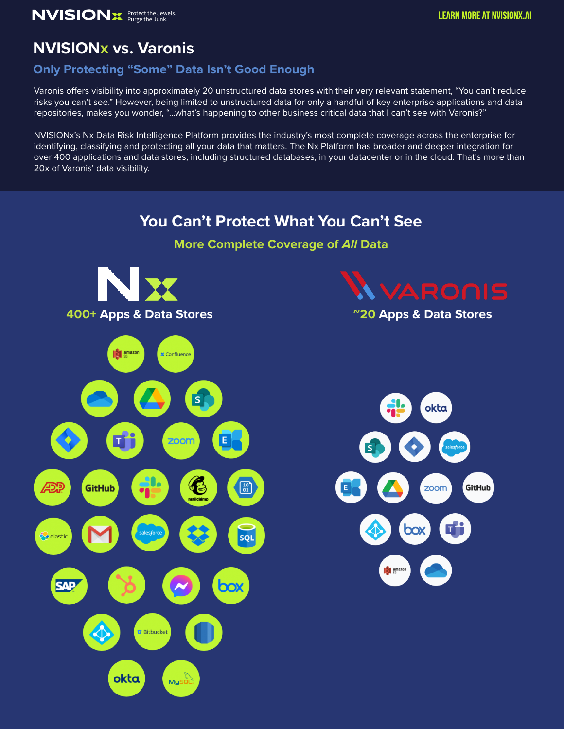# **NVISIONx vs. Varonis**

#### **Only Protecting "Some" Data Isn't Good Enough**

Varonis offers visibility into approximately 20 unstructured data stores with their very relevant statement, "You can't reduce risks you can't see." However, being limited to unstructured data for only a handful of key enterprise applications and data repositories, makes you wonder, "…what's happening to other business critical data that I can't see with Varonis?"

NVISIONx's Nx Data Risk Intelligence Platform provides the industry's most complete coverage across the enterprise for identifying, classifying and protecting all your data that matters. The Nx Platform has broader and deeper integration for over 400 applications and data stores, including structured databases, in your datacenter or in the cloud. That's more than 20x of Varonis' data visibility.